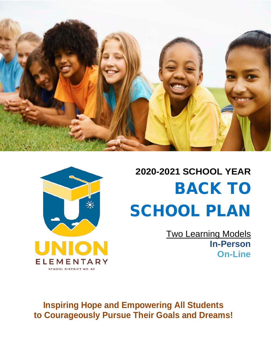

# **2020-2021 SCHOOL YEAR** BACK TO SCHOOL PLAN

Two Learning Models **In-Person On-Line**

**Inspiring Hope and Empowering All Students to Courageously Pursue Their Goals and Dreams!**

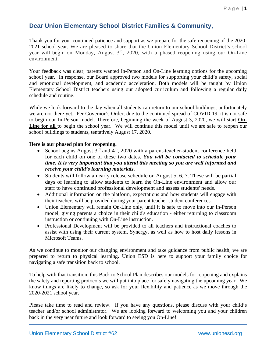### **Dear Union Elementary School District Families & Community,**

Thank you for your continued patience and support as we prepare for the safe reopening of the 2020- 2021 school year. We are pleased to share that the Union Elementary School District's school year will begin on Monday, August 3rd, 2020, with a phased reopening using our On-Line environment.

Your feedback was clear, parents wanted In-Person and On-Line learning options for the upcoming school year. In response, our Board approved two models for supporting your child's safety, social and emotional development, and academic acceleration. Both models will be taught by Union Elementary School District teachers using our adopted curriculum and following a regular daily schedule and routine.

While we look forward to the day when all students can return to our school buildings, unfortunately we are not there yet. Per Governor's Order, due to the continued spread of COVID-19, it is not safe to begin our In-Person model. Therefore, beginning the week of August 3, 2020, we will start **On-Line for all** to begin the school year. We will continue this model until we are safe to reopen our school buildings to students, tentatively August 17, 2020.

### **Here is our phased plan for reopening.**

- School begins August  $3<sup>rd</sup>$  and  $4<sup>th</sup>$ , 2020 with a parent-teacher-student conference held for each child on one of these two dates. *You will be contacted to schedule your time. It is very important that you attend this meeting so you are well informed and receive your child's learning materials.*
- Students will follow an early release schedule on August 5, 6, 7. These will be partial days of learning to allow students to learn the On-Line environment and allow our staff to have continued professional development and assess students' needs.
- Additional information on the platform, expectations and how students will engage with their teachers will be provided during your parent teacher student conferences.
- Union Elementary will remain On-Line only, until it is safe to move into our In-Person model, giving parents a choice in their child's education - either returning to classroom instruction or continuing with On-Line instruction.
- Professional Development will be provided to all teachers and instructional coaches to assist with using their current system, Synergy, as well as how to host daily lessons in Microsoft Teams.

As we continue to monitor our changing environment and take guidance from public health, we are prepared to return to physical learning. Union ESD is here to support your family choice for navigating a safe transition back to school.

To help with that transition, this Back to School Plan describes our models for reopening and explains the safety and reporting protocols we will put into place for safely navigating the upcoming year. We know things are likely to change, so ask for your flexibility and patience as we move through the 2020-2021 school year.

Please take time to read and review. If you have any questions, please discuss with your child's teacher and/or school administrator. We are looking forward to welcoming you and your children back in the very near future and look forward to seeing you On-Line!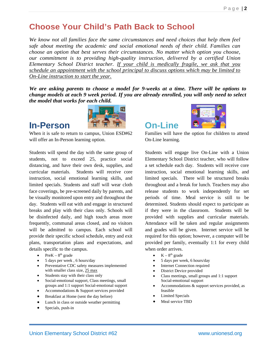# **Choose Your Child's Path Back to School**

*We know not all families face the same circumstances and need choices that help them feel safe about meeting the academic and social emotional needs of their child. Families can choose an option that best serves their circumstances. No matter which option you choose, our commitment is to providing high-quality instruction, delivered by a certified Union Elementary School District teacher. If your child is medically fragile, we ask that you schedule an appointment with the school principal to discuss options which may be limited to On-Line instruction to start the year.*

*We are asking parents to choose a model for 9-weeks at a time. There will be options to change models at each 9 week period. If you are already enrolled, you will only need to select the model that works for each child.*



When it is safe to return to campus, Union ESD#62 will offer an In-Person learning option.

Students will spend the day with the same group of students, not to exceed 25, practice social distancing, and have their own desk, supplies, and curricular materials. Students will receive core instruction, social emotional learning skills, and limited specials. Students and staff will wear cloth face coverings, be pre-screened daily by parents, and be visually monitored upon entry and throughout the day. Students will eat with and engage in structured breaks and play with their class only. Schools will be disinfected daily, and high touch areas more frequently, communal areas closed, and no visitors will be admitted to campus. Each school will provide their specific school schedule, entry and exit plans, transportation plans and expectations, and details specific to the campus.

- Pre $K 8<sup>th</sup>$  grade
- 5 days per week , 6 hours/day
- Preventative CDC safety measures implemented with smaller class size, 25 max
- Students stay with their class only
- Social-emotional support, Class meetings, small groups and 1:1 support Social-emotional support
- Accommodations & Support services provided
- Breakfast at Home (sent the day before)
- Lunch in class or outside weather permitting
- Specials, push-in



Families will have the option for children to attend On-Line learning.

Students will engage live On-Line with a Union Elementary School District teacher, who will follow a set schedule each day. Students will receive core instruction, social emotional learning skills, and limited specials. There will be structured breaks throughout and a break for lunch. Teachers may also release students to work independently for set periods of time. Meal service is still to be determined. Students should expect to participate as if they were in the classroom. Students will be provided with supplies and curricular materials. Attendance will be taken and regular assignments and grades will be given. Internet service will be required for this option; however, a computer will be provided per family, eventually 1:1 for every child when order arrives.

- $K 8<sup>th</sup>$  grade
- 5 days per week, 6 hours/day
- Internet Connection required
- District Device provided
- Class meetings, small groups and 1:1 support Social-emotional support
- Accommodations & support services provided, as feasible
- **Limited Specials**
- Meal service TBD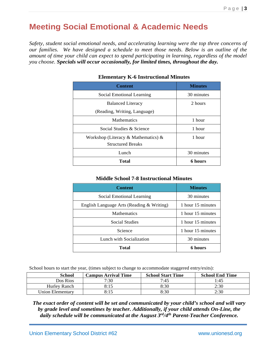# **Meeting Social Emotional & Academic Needs**

*Safety, student social emotional needs, and accelerating learning were the top three concerns of our families. We have designed a schedule to meet those needs. Below is an outline of the amount of time your child can expect to spend participating in learning, regardless of the model you choose. Specials will occur occasionally, for limited times, throughout the day.*

| <b>Content</b>                      | <b>Minutes</b> |
|-------------------------------------|----------------|
| Social Emotional Learning           | 30 minutes     |
| <b>Balanced Literacy</b>            | 2 hours        |
| (Reading, Writing, Language)        |                |
| <b>Mathematics</b>                  | 1 hour         |
| Social Studies & Science            | 1 hour         |
| Workshop (Literacy & Mathematics) & | 1 hour         |
| <b>Structured Breaks</b>            |                |
| Lunch                               | 30 minutes     |
| <b>Total</b>                        | 6 hours        |

### **Elementary K-6 Instructional Minutes**

### **Middle School 7-8 Instructional Minutes**

| <b>Content</b>                            | <b>Minutes</b>    |
|-------------------------------------------|-------------------|
| Social Emotional Learning                 | 30 minutes        |
| English Language Arts (Reading & Writing) | 1 hour 15 minutes |
| <b>Mathematics</b>                        | 1 hour 15 minutes |
| <b>Social Studies</b>                     | 1 hour 15 minutes |
| Science                                   | 1 hour 15 minutes |
| Lunch with Socialization                  | 30 minutes        |
| Total                                     | 6 hours           |

School hours to start the year, (times subject to change to accommodate staggered entry/exits):

| <b>School</b>    | <b>Campus Arrival Time</b> | <b>School Start Time</b> | <b>School End Time</b> |
|------------------|----------------------------|--------------------------|------------------------|
| Dos Rios         | 7:30                       | 7:45                     | 1:45                   |
| Hurley Ranch     | 8:15                       | 8:30                     | 2:30                   |
| Union Elementarv | 8:15                       | 8:30                     | 2:30                   |

*The exact order of content will be set and communicated by your child's school and will vary by grade level and sometimes by teacher. Additionally, if your child attends On-Line, the daily schedule will be communicated at the August 3rd/4th Parent-Teacher Conference.*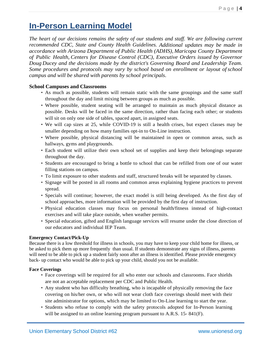# **In-Person Learning Model**

*The heart of our decisions remains the safety of our students and staff. We are following current recommended CDC, State and County Health Guidelines. Additional updates may be made in accordance with Arizona Department of Public Health (ADHS), Maricopa County Department of Public Health, Centers for Disease Control (CDC), Executive Orders issued by Governor Doug Ducey and the decisions made by the district's Governing Board and Leadership Team. Some procedures and protocols may vary by school based on enrollment or layout of school campus and will be shared with parents by school principals.*

### **School Campuses and Classrooms**

- As much as possible, students will remain static with the same groupings and the same staff throughout the day and limit mixing between groups as much as possible.
- Where possible, student seating will be arranged to maintain as much physical distance as possible. Desks will be faced in the same direction, rather than facing each other; or students will sit on only one side of tables, spaced apart, in assigned seats.
- We will cap sizes at 25, while COVID-19 is still a health crises, but expect classes may be smaller depending on how many families opt-in to On-Line instruction.
- Where possible, physical distancing will be maintained in open or common areas, such as hallways, gyms and playgrounds.
- Each student will utilize their own school set of supplies and keep their belongings separate throughout the day.
- Students are encouraged to bring a bottle to school that can be refilled from one of our water filling stations on campus.
- To limit exposure to other students and staff, structured breaks will be separated by classes.
- Signage will be posted in all rooms and common areas explaining hygiene practices to prevent spread.
- Specials will continue; however, the exact model is still being developed. As the first day of school approaches, more information will be provided by the first day of instruction.
- Physical education classes may focus on personal health/fitness instead of high-contact exercises and will take place outside, when weather permits.
- Special education, gifted and English language services will resume under the close direction of our educators and individual IEP Team.

### **Emergency Contact/Pick-Up**

Because there is a low threshold for illness in schools, you may have to keep your child home for illness, or be asked to pick them up more frequently than usual. If students demonstrate any signs of illness, parents will need to be able to pick up a student fairly soon after an illness is identified. Please provide emergency back- up contact who would be able to pick up your child, should you not be available.

### **Face Coverings**

- Face coverings will be required for all who enter our schools and classrooms. Face shields are not an acceptable replacement per CDC and Public Health.
- Any student who has difficulty breathing, who is incapable of physically removing the face covering on his/her own, or who will not wear cloth face coverings should meet with their site administrator for options, which may be limited to On-Line learning to start the year.
- Students who refuse to comply with the safety protocols adopted for In-Person learning will be assigned to an online learning program pursuant to A.R.S. 15-841(F).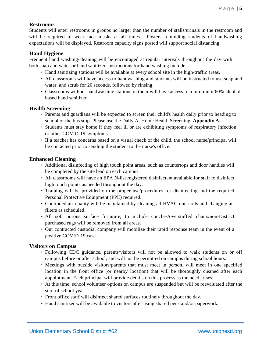### **Restrooms**

Students will enter restrooms in groups no larger than the number of stalls/urinals in the restroom and will be required to wear face masks at all times. Posters reminding students of handwashing expectations will be displayed. Restroom capacity signs posted will support social distancing.

### **Hand Hygiene**

Frequent hand washing/cleaning will be encouraged at regular intervals throughout the day with both soap and water or hand sanitizer. Instructions for hand washing include:

- Hand sanitizing stations will be available at every school site in the high-traffic areas.
- All classrooms will have access to handwashing and students will be instructed to use soap and water, and scrub for 20 seconds, followed by rinsing.
- Classrooms without handwashing stations in them will have access to a minimum 60% alcoholbased hand sanitizer.

### **Health Screening**

- Parents and guardians will be expected to screen their child's health daily prior to heading to school or the bus stop. Please use the Daily At Home Health Screening, **Appendix A.**
- Students must stay home if they feel ill or are exhibiting symptoms of respiratory infection or other COVID-19 symptoms.
- If a teacher has concerns based on a visual check of the child, the school nurse/principal will be contacted prior to sending the student to the nurse's office.

### **Enhanced Cleaning**

- Additional disinfecting of high touch point areas, such as countertops and door handles will be completed by the site lead on each campus.
- All classrooms will have an EPA N-list registered disinfectant available for staff to disinfect high touch points as needed throughout the day.
- Training will be provided on the proper use/procedures for disinfecting and the required Personal Protective Equipment (PPE) required.
- Continued air quality will be maintained by cleaning all HVAC unit coils and changing air filters as scheduled.
- All soft porous surface furniture, to include couches/overstuffed chairs/non-District purchased rugs will be removed from all areas.
- Our contracted custodial company will mobilize their rapid response team in the event of a positive COVID-19 case.

### **Visitors on Campus**

- Following CDC guidance, parents/visitors will not be allowed to walk students on or off campus before or after school, and will not be permitted on campus during school hours.
- Meetings with outside visitors/parents that must meet in person, will meet in one specified location in the front office (or nearby location) that will be thoroughly cleaned after each appointment. Each principal will provide details on this process as the need arises.
- At this time, school volunteer options on campus are suspended but will be reevaluated after the start of school year.
- Front office staff will disinfect shared surfaces routinely throughout the day.
- Hand sanitizer will be available to visitors after using shared pens and/or paperwork.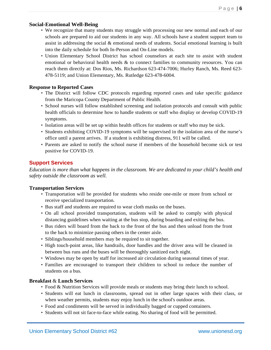### **Social-Emotional Well-Being**

- We recognize that many students may struggle with processing our new normal and each of our schools are prepared to aid our students in any way. All schools have a student support team to assist in addressing the social  $\&$  emotional needs of students. Social emotional learning is built into the daily schedule for both In-Person and On-Line models.
- Union Elementary School District has school counselors at each site to assist with student emotional or behavioral health needs & to connect families to community resources. You can reach them directly at: Dos Rios, Ms. Richardson 623-474-7006; Hurley Ranch, Ms. Reed 623- 478-5119; and Union Elementary, Ms. Rutledge 623-478-6004.

### **Response to Reported Cases**

- The District will follow CDC protocols regarding reported cases and take specific guidance from the Maricopa County Department of Public Health.
- School nurses will follow established screening and isolation protocols and consult with public health officials to determine how to handle students or staff who display or develop COVID-19 symptoms.
- Isolation areas will be set up within health offices for students or staff who may be sick.
- Students exhibiting COVID-19 symptoms will be supervised in the isolation area of the nurse's office until a parent arrives. If a student is exhibiting distress, 911 will be called.
- Parents are asked to notify the school nurse if members of the household become sick or test positive for COVID-19.

### **Support Services**

*Education is more than what happens in the classroom. We are dedicated to your child's health and safety outside the classroom as well.*

### **Transportation Services**

- Transportation will be provided for students who reside one-mile or more from school or receive specialized transportation.
- Bus staff and students are required to wear cloth masks on the buses.
- On all school provided transportation, students will be asked to comply with physical distancing guidelines when waiting at the bus stop, during boarding and exiting the bus.
- Bus riders will board from the back to the front of the bus and then unload from the front to the back to minimize passing others in the center aisle.
- Siblings/household members may be required to sit together.
- High touch-point areas, like handrails, door handles and the driver area will be cleaned in between bus runs and the buses will be thoroughly sanitized each night.
- Windows may be open by staff for increased air circulation during seasonal times of year.
- Families are encouraged to transport their children to school to reduce the number of students on a bus.

### **Breakfast** & **Lunch Services**

- Food & Nutrition Services will provide meals or students may bring their lunch to school.
- Students will eat lunch in classrooms, spread out in other large spaces with their class, or when weather permits, students may enjoy lunch in the school's outdoor areas.
- Food and condiments will be served in individually bagged or cupped containers.
- Students will not sit face-to-face while eating. No sharing of food will be permitted.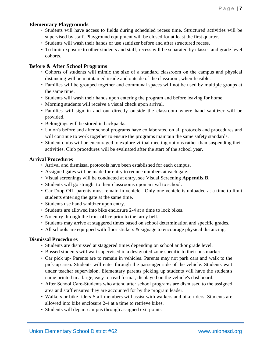### **Elementary Playgrounds**

- Students will have access to fields during scheduled recess time. Structured activities will be supervised by staff. Playground equipment will be closed for at least the first quarter.
- Students will wash their hands or use sanitizer before and after structured recess.
- To limit exposure to other students and staff, recess will be separated by classes and grade level cohorts.

### **Before & After School Programs**

- Cohorts of students will mimic the size of a standard classroom on the campus and physical distancing will be maintained inside and outside of the classroom, when feasible.
- Families will be grouped together and communal spaces will not be used by multiple groups at the same time.
- Students will wash their hands upon entering the program and before leaving for home.
- Morning students will receive a visual check upon arrival.
- Families will sign in and out directly outside the classroom where hand sanitizer will be provided.
- Belongings will be stored in backpacks.
- Union's before and after school programs have collaborated on all protocols and procedures and will continue to work together to ensure the programs maintain the same safety standards.
- Student clubs will be encouraged to explore virtual meeting options rather than suspending their activities. Club procedures will be evaluated after the start of the school year.

### **Arrival Procedures**

- Arrival and dismissal protocols have been established for each campus.
- Assigned gates will be made for entry to reduce numbers at each gate.
- Visual screenings will be conducted at entry, see Visual Screening **Appendix B.**
- Students will go straight to their classrooms upon arrival to school.
- Car Drop Off- parents must remain in vehicle. Only one vehicle is unloaded at a time to limit students entering the gate at the same time.
- Students use hand sanitizer upon entry.
- Students are allowed into bike enclosure 2-4 at a time to lock bikes.
- No entry through the front office prior to the tardy bell.
- Students may arrive at staggered times based on school determination and specific grades.
- All schools are equipped with floor stickers & signage to encourage physical distancing.

### **Dismissal Procedures**

- Students are dismissed at staggered times depending on school and/or grade level.
- Bussed students will wait supervised in a designated zone specific to their bus marker.
- Car pick up- Parents are to remain in vehicles. Parents may not park cars and walk to the pick-up area. Students will enter through the passenger side of the vehicle. Students wait under teacher supervision. Elementary parents picking up students will have the student's name printed in a large, easy-to-read format, displayed on the vehicle's dashboard.
- After School Care-Students who attend after school programs are dismissed to the assigned area and staff ensures they are accounted for by the program leader.
- Walkers or bike riders-Staff members will assist with walkers and bike riders. Students are allowed into bike enclosure 2-4 at a time to retrieve bikes.
- Students will depart campus through assigned exit points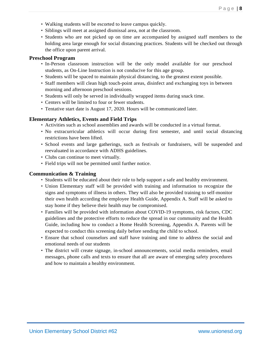- Walking students will be escorted to leave campus quickly.
- Siblings will meet at assigned dismissal area, not at the classroom.
- Students who are not picked up on time are accompanied by assigned staff members to the holding area large enough for social distancing practices. Students will be checked out through the office upon parent arrival.

### **Preschool Program**

- In-Person classroom instruction will be the only model available for our preschool students, as On-Line Instruction is not conducive for this age group.
- Students will be spaced to maintain physical distancing, to the greatest extent possible.
- Staff members will clean high touch-point areas, disinfect and exchanging toys in between morning and afternoon preschool sessions.
- Students will only be served in individually wrapped items during snack time.
- Centers will be limited to four or fewer students.
- Tentative start date is August 17, 2020. Hours will be communicated later.

### **Elementary Athletics, Events and Field Trips**

- Activities such as school assemblies and awards will be conducted in a virtual format.
- No extracurricular athletics will occur during first semester, and until social distancing restrictions have been lifted.
- School events and large gatherings, such as festivals or fundraisers, will be suspended and reevaluated in accordance with ADHS guidelines.
- Clubs can continue to meet virtually.
- Field trips will not be permitted until further notice.

### **Communication & Training**

- Students will be educated about their role to help support a safe and healthy environment.
- Union Elementary staff will be provided with training and information to recognize the signs and symptoms of illness in others. They will also be provided training to self-monitor their own health according the employee Health Guide, Appendix A. Staff will be asked to stay home if they believe their health may be compromised.
- Families will be provided with information about COVID-19 symptoms, risk factors, CDC guidelines and the protective efforts to reduce the spread in our community and the Health Guide, including how to conduct a Home Health Screening, Appendix A. Parents will be expected to conduct this screening daily before sending the child to school.
- Ensure that school counselors and staff have training and time to address the social and emotional needs of our students
- The district will create signage, in-school announcements, social media reminders, email messages, phone calls and texts to ensure that all are aware of emerging safety procedures and how to maintain a healthy environment.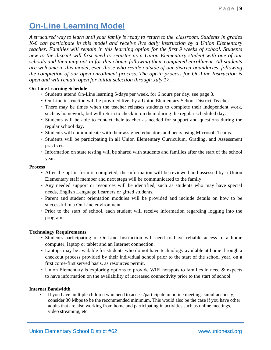# **On-Line Learning Model**

*A structured way to learn until your family is ready to return to the classroom. Students in grades K-8 can participate in this model and receive live daily instruction by a Union Elementary teacher. Families will remain in this learning option for the first 9 weeks of school. Students new to the district will first need to register as a Union Elementary student with one of our schools and then may opt-in for this choice following their completed enrollment. All students are welcome in this model, even those who reside outside of our district boundaries, following the completion of our open enrollment process. The opt-in process for On-Line Instruction is open and will remain open for initial selection through July 17.*

### **On-Line Learning Schedule**

- Students attend On-Line learning 5-days per week, for 6 hours per day, see page 3.
- On-Line instruction will be provided live, by a Union Elementary School District Teacher.
- There may be times when the teacher releases students to complete their independent work, such as homework, but will return to check in on them during the regular scheduled day.
- Students will be able to contact their teacher as needed for support and questions during the regular school day.
- Students will communicate with their assigned educators and peers using Microsoft Teams.
- Students will be participating in all Union Elementary Curriculum, Grading, and Assessment practices.
- Information on state testing will be shared with students and families after the start of the school year.

### **Process**

- After the opt-in form is completed, the information will be reviewed and assessed by a Union Elementary staff member and next steps will be communicated to the family.
- Any needed support or resources will be identified, such as students who may have special needs, English Language Learners or gifted students.
- Parent and student orientation modules will be provided and include details on how to be successful in a On-Line environment.
- Prior to the start of school, each student will receive information regarding logging into the program.

### **Technology Requirements**

- Students participating in On-Line Instruction will need to have reliable access to a home computer, laptop or tablet and an Internet connection.
- Laptops may be available for students who do not have technology available at home through a checkout process provided by their individual school prior to the start of the school year, on a first come-first served basis, as resources permit.
- Union Elementary is exploring options to provide WiFi hotspots to families in need & expects to have information on the availability of increased connectivity prior to the start of school.

### **Internet Bandwidth**

• If you have multiple children who need to access/participate in online meetings simultaneously, consider 30 Mbps to be the recommended minimum. This would also be the case if you have other adults that are also working from home and participating in activities such as online meetings, video streaming, etc.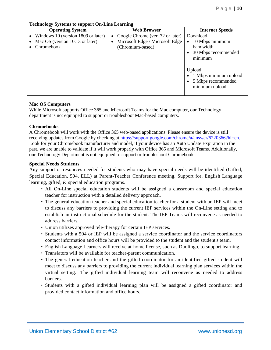| 1000000                            |                                    |                                  |  |  |  |  |
|------------------------------------|------------------------------------|----------------------------------|--|--|--|--|
| <b>Operating System</b>            | <b>Web Browser</b>                 | <b>Internet Speeds</b>           |  |  |  |  |
| Windows 10 (version 1809 or later) | • Google Chrome (ver. 72 or later) | Download                         |  |  |  |  |
| Mac OS (version 10.13 or later)    | Microsoft Edge / Microsoft Edge    | 10 Mbps minimum<br>$\bullet$     |  |  |  |  |
| Chromebook                         | (Chromium-based)                   | bandwidth                        |  |  |  |  |
|                                    |                                    | 30 Mbps recommended<br>$\bullet$ |  |  |  |  |
|                                    |                                    | minimum                          |  |  |  |  |
|                                    |                                    |                                  |  |  |  |  |
|                                    |                                    | Upload                           |  |  |  |  |
|                                    |                                    | 1 Mbps minimum upload            |  |  |  |  |
|                                    |                                    | 5 Mbps recommended               |  |  |  |  |
|                                    |                                    | minimum upload                   |  |  |  |  |
|                                    |                                    |                                  |  |  |  |  |

### **Technology Systems to support On-Line Learning**

### **Mac OS Computers**

While Microsoft supports Office 365 and Microsoft Teams for the Mac computer, our Technology department is not equipped to support or troubleshoot Mac-based computers.

### **Chromebooks**

A Chromebook will work with the Office 365 web-based applications. Please ensure the device is still receiving updates from Google by checking at [https://support.google.com/chrome/a/answer/6220366?hl=en.](https://support.google.com/chrome/a/answer/6220366?hl=en) Look for your Chromebook manufacturer and model, if your device has an Auto Update Expiration in the past, we are unable to validate if it will work properly with Office 365 and Microsoft Teams. Additionally, our Technology Department is not equipped to support or troubleshoot Chromebooks.

### **Special Needs Students**

Any support or resources needed for students who may have special needs will be identified (Gifted, Special Education, 504, ELL) at Parent-Teacher Conference meeting. Support for, English Language learning, gifted, & special education programs.

- All On-Line special education students will be assigned a classroom and special education teacher for instruction with a detailed delivery approach.
- The general education teacher and special education teacher for a student with an IEP will meet to discuss any barriers to providing the current IEP services within the On-Line setting and to establish an instructional schedule for the student. The IEP Teams will reconvene as needed to address barriers.
- Union utilizes approved tele-therapy for certain IEP services.
- Students with a 504 or IEP will be assigned a service coordinator and the service coordinators contact information and office hours will be provided to the student and the student's team.
- English Language Learners will receive at-home license, such as Duolingo, to support learning.
- Translators will be available for teacher-parent communication.
- The general education teacher and the gifted coordinator for an identified gifted student will meet to discuss any barriers to providing the current individual learning plan services within the virtual setting. The gifted individual learning team will reconvene as needed to address barriers.
- Students with a gifted individual learning plan will be assigned a gifted coordinator and provided contact information and office hours.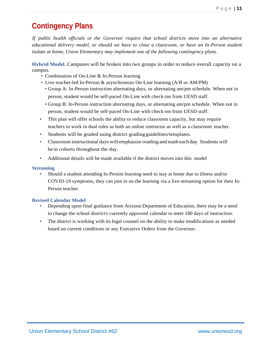# **Contingency Plans**

*If public health officials or the Governor require that school districts move into an alternative educational delivery model, or should we have to close a classroom, or have an In-Person student isolate at home, Union Elementary may implement one of the following contingency plans.*

**Hybrid Model.** Campuses will be broken into two groups in order to reduce overall capacity on a campus.

- Combination of On-Line & In-Person learning
- Live teacher-led In-Person & asynchronous On-Line learning (A/B or AM/PM)
	- Group A: In-Person instruction alternating days, or alternating am/pm schedule. When not in person, student would be self-paced On-Line with check-ins from UESD staff.
	- Group B: In-Person instruction alternating days, or alternating am/pm schedule. When not in person, student would be self-paced On-Line with check-ins from UESD staff.
- This plan will offer schools the ability to reduce classroom capacity, but may require teachers to work in dual roles as both an online instructor as well as a classroom teacher.
- Students will be graded using district grading guidelines/templates.
- Classroom instructional days will emphasize reading and math each day. Students will be in cohorts throughout the day.
- Additional details will be made available if the district moves into this model

### **Streaming**

• Should a student attending In-Person learning need to stay at home due to illness and/or COVID-19 symptoms, they can join in on the learning via a live-streaming option for their In-Person teacher.

### **Revised Calendar Model**

- Depending upon final guidance from Arizona Department of Education, there may be a need to change the school district's currently approved calendar to meet 180 days of instruction.
- The district is working with its legal counsel on the ability to make modifications as needed based on current conditions or any Executive Orders from the Governor.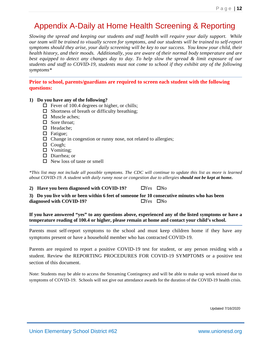# Appendix A-Daily at Home Health Screening & Reporting

*Slowing the spread and keeping our students and staff health will require your daily support. While our team will be trained to visually screen for symptoms, and our students will be trained to self-report symptoms should they arise, your daily screening will be key to our success. You know your child, their health history, and their moods. Additionally, you are aware of their normal body temperature and are best equipped to detect any changes day to day. To help slow the spread & limit exposure of our students and staff to COVID-19, students must not come to school if they exhibit any of the following symptoms\**

**Prior to school, parents/guardians are required to screen each student with the following questions:**

### **1) Do you have any of the following?**

- $\Box$  Fever of 100.4 degrees or higher, or chills;
- $\Box$  Shortness of breath or difficulty breathing;
- $\Box$  Muscle aches;
- $\Box$  Sore throat:
- □ Headache;
- $\Box$  Fatigue;
- $\Box$  Change in congestion or runny nose, not related to allergies;
- $\Box$  Cough:
- $\Box$  Vomiting;
- Diarrhea; or
- $\Box$  New loss of taste or smell

*\*This list may not include all possible symptoms. The CDC will continue to update this list as more is learned about COVID-19. A student with daily runny nose or congestion due to allergies should not be kept at home.* 

### **2) Have you been diagnosed with COVID-19?**  $\Box$  Yes  $\Box$  No

**3) Do you live with or been within 6 feet of someone for 10 consecutive minutes who has been**  diagnosed with COVID-19?  $\Box$  Yes  $\Box$  No

**If you have answered "yes" to any questions above, experienced any of the listed symptoms or have a temperature reading of 100.4 or higher, please remain at home and contact your child's school.**

Parents must self-report symptoms to the school and must keep children home if they have any symptoms present or have a household member who has contracted COVID-19.

Parents are required to report a positive COVID-19 test for student, or any person residing with a student. Review the REPORTING PROCEDURES FOR COVID-19 SYMPTOMS or a positive test section of this document.

Note: Students may be able to access the Streaming Contingency and will be able to make up work missed due to symptoms of COVID-19. Schools will not give out attendance awards for the duration of the COVID-19 health crisis.

Updated 7/16/2020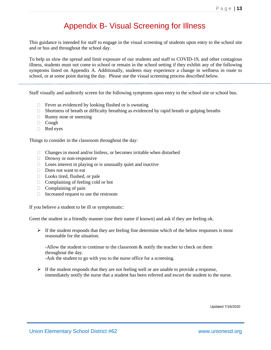# Appendix B- Visual Screening for Illness

This guidance is intended for staff to engage in the visual screening of students upon entry to the school site and or bus and throughout the school day.

To help us slow the spread and limit exposure of our students and staff to COVID-19, and other contagious illness, students must not come to school or remain in the school setting if they exhibit any of the following symptoms listed on Appendix A. Additionally, students may experience a change in wellness in route to school, or at some point during the day. Please use the visual screening process described below.

Staff visually and auditorily screen for the following symptoms upon entry to the school site or school bus.

- $\Box$  Fever as evidenced by looking flushed or is sweating
- $\Box$  Shortness of breath or difficulty breathing as evidenced by rapid breath or gulping breaths
- $\Box$  Runny nose or sneezing
- Cough
- Red eyes

Things to consider in the classroom throughout the day:

- $\Box$  Changes in mood and/or listless, or becomes irritable when disturbed
- $\Box$  Drowsy or non-responsive
- $\Box$  Loses interest in playing or is unusually quiet and inactive
- $\Box$  Does not want to eat
- $\Box$  Looks tired, flushed, or pale
- $\Box$  Complaining of feeling cold or hot
- $\Box$  Complaining of pain
- $\Box$  Increased request to use the restroom

If you believe a student to be ill or symptomatic:

Greet the student in a friendly manner (use their name if known) and ask if they are feeling ok.

 $\triangleright$  If the student responds that they are feeling fine determine which of the below responses is most reasonable for the situation.

-Allow the student to continue to the classroom & notify the teacher to check on them throughout the day.

-Ask the student to go with you to the nurse office for a screening.

 $\triangleright$  If the student responds that they are not feeling well or are unable to provide a response, immediately notify the nurse that a student has been referred and escort the student to the nurse.

Updated 7/16/2020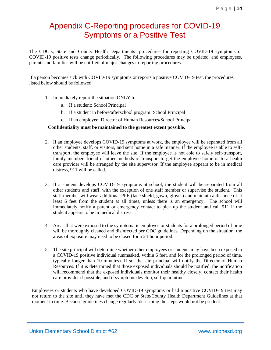# Appendix C-Reporting procedures for COVID-19 Symptoms or a Positive Test

The CDC's, State and County Health Departments' procedures for reporting COVID-19 symptoms or COVID-19 positive tests change periodically. The following procedures may be updated, and employees, parents and families will be notified of major changes to reporting procedures.

If a person becomes sick with COVID-19 symptoms or reports a positive COVID-19 test, the procedures listed below should be followed:

- 1. Immediately report the situation ONLY to:
	- a. If a student: School Principal
	- b. If a student in before/afterschool program: School Principal
	- c. If an employee: Director of Human Resources/School Principal

### **Confidentiality must be maintained to the greatest extent possible.**

- 2. If an employee develops COVID-19 symptoms at work, the employee will be separated from all other students, staff, or visitors, and sent home in a safe manner. If the employee is able to selftransport, the employee will leave the site. If the employee is not able to safely self-transport, family member, friend of other methods of transport to get the employee home or to a health care provider will be arranged by the site supervisor. If the employee appears to be in medical distress, 911 will be called.
- 3. If a student develops COVID-19 symptoms at school, the student will be separated from all other students and staff, with the exception of one staff member or supervise the student. This staff member will wear additional PPE (face shield, gown, gloves) and maintain a distance of at least 6 feet from the student at all times, unless there is an emergency. The school will immediately notify a parent or emergency contact to pick up the student and call 911 if the student appears to be in medical distress.
- 4. Areas that were exposed to the symptomatic employee or students for a prolonged period of time will be thoroughly cleaned and disinfected per CDC guidelines. Depending on the situation, the areas of exposure may need to be closed for a 24-hour period.
- 5. The site principal will determine whether other employees or students may have been exposed to a COVID-19 positive individual (unmasked, within 6 feet, and for the prolonged period of time, typically longer than 10 minutes). If so, the site principal will notify the Director of Human Resources. If it is determined that those exposed individuals should be notified, the notification will recommend that the exposed individuals monitor their healthy closely, contact their health care provider if possible, and if symptoms develop, self-quarantine.

Employees or students who have developed COVID-19 symptoms or had a positive COVID-19 test may not return to the site until they have met the CDC or State/County Health Department Guidelines at that moment in time. Because guidelines change regularly, describing the steps would not be prudent.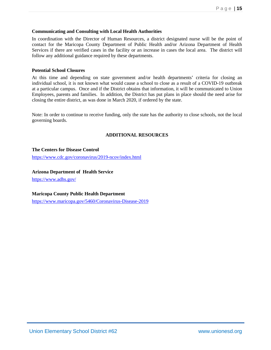### Page | **15**

### **Communicating and Consulting with Local Health Authorities**

In coordination with the Director of Human Resources, a district designated nurse will be the point of contact for the Maricopa County Department of Public Health and/or Arizona Department of Health Services if there are verified cases in the facility or an increase in cases the local area. The district will follow any additional guidance required by these departments.

### **Potential School Closures**

At this time and depending on state government and/or health departments' criteria for closing an individual school, it is not known what would cause a school to close as a result of a COVID-19 outbreak at a particular campus. Once and if the District obtains that information, it will be communicated to Union Employees, parents and families. In addition, the District has put plans in place should the need arise for closing the entire district, as was done in March 2020, if ordered by the state.

Note: In order to continue to receive funding, only the state has the authority to close schools, not the local governing boards.

### **ADDITIONAL RESOURCES**

### **The Centers for Disease Control**

<https://www.cdc.gov/coronavirus/2019-ncov/index.html>

### **Arizona Department of Health Service**

<https://www.adhs.gov/>

### **Maricopa County Public Health Department**

<https://www.maricopa.gov/5460/Coronavirus-Disease-2019>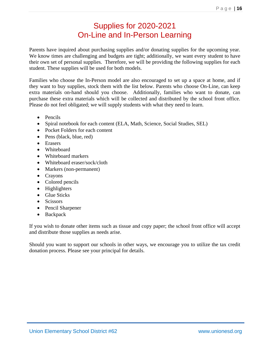# Supplies for 2020-2021 On-Line and In-Person Learning

Parents have inquired about purchasing supplies and/or donating supplies for the upcoming year. We know times are challenging and budgets are tight; additionally, we want every student to have their own set of personal supplies. Therefore, we will be providing the following supplies for each student. These supplies will be used for both models.

Families who choose the In-Person model are also encouraged to set up a space at home, and if they want to buy supplies, stock them with the list below. Parents who choose On-Line, can keep extra materials on-hand should you choose. Additionally, families who want to donate, can purchase these extra materials which will be collected and distributed by the school front office. Please do not feel obligated; we will supply students with what they need to learn.

- Pencils
- Spiral notebook for each content (ELA, Math, Science, Social Studies, SEL)
- Pocket Folders for each content
- Pens (black, blue, red)
- Erasers
- Whiteboard
- Whiteboard markers
- Whiteboard eraser/sock/cloth
- Markers (non-permanent)
- Crayons
- Colored pencils
- Highlighters
- Glue Sticks
- Scissors
- Pencil Sharpener
- Backpack

If you wish to donate other items such as tissue and copy paper; the school front office will accept and distribute those supplies as needs arise.

Should you want to support our schools in other ways, we encourage you to utilize the tax credit donation process. Please see your principal for details.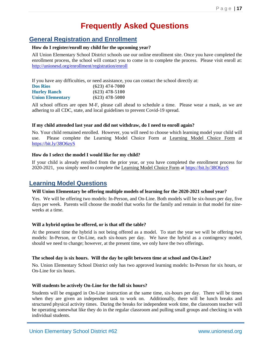# **Frequently Asked Questions**

### **General Registration and Enrollment**

### **How do I register/enroll my child for the upcoming year?**

All Union Elementary School District schools use our online enrollment site. Once you have completed the enrollment process, the school will contact you to come in to complete the process. Please visit enroll at: <http://unionesd.org/enrollment/registration/enroll>

If you have any difficulties, or need assistance, you can contact the school directly at:

| <b>Dos Rios</b>         | $(623)$ 474-7000 |
|-------------------------|------------------|
| <b>Hurley Ranch</b>     | $(623)$ 478-5100 |
| <b>Union Elementary</b> | $(623)$ 478-5000 |

All school offices are open M-F, please call ahead to schedule a time. Please wear a mask, as we are adhering to all CDC, state, and local guidelines to prevent Covid-19 spread.

### **If my child attended last year and did not withdraw, do I need to enroll again?**

No. Your child remained enrolled. However, you will need to choose which learning model your child will use. Please complete the Learning Model Choice Form at Learning Model Choice Form at [https://bit.ly/38O6zyS](https://l.facebook.com/l.php?u=https%3A%2F%2Fbit.ly%2F38O6zyS%3Ffbclid%3DIwAR1lWMbtGFYLPW-G5afqRqfK2wQg1PnAGc5lId9rPRa9X1GIW3DdrJRZOeU&h=AT3_PUCOqjtqo6Q5FBK3gVUktHhHIGzXv1Z-oMzdCeAGAO7cKsOL0zxuI1kYxXRflEhQcqgYzX0TsVWdyjdswQM_6HSEiPfkf7_I8XOAtsZheWbCU1MTHIy8oJQCaQLtUz8P&__tn__=-UK-R&c%5b0%5d=AT2irU-Fhv1YCLmByh2Ot3zNXwJZ8ZUadKhMrJ1rTZ6UOc7EPiHZUpeXbFiooYrYTi6lxnT7OaxF5fBmsf7J6HxivjuTZC6JR856GCeMClPK-dfzV8CM-bHfAgr-ZoABbHSberIPA_sug2dnKi6S7IW6so03fKT-kz0Hw_DavxYjbelDczZXWDKCgZ0OvpI)

### **How do I select the model I would like for my child?**

If your child is already enrolled from the prior year, or you have completed the enrollment process for 2020-2021, you simply need to complete the Learning Model Choice Form at [https://bit.ly/38O6zyS](https://l.facebook.com/l.php?u=https%3A%2F%2Fbit.ly%2F38O6zyS%3Ffbclid%3DIwAR1lWMbtGFYLPW-G5afqRqfK2wQg1PnAGc5lId9rPRa9X1GIW3DdrJRZOeU&h=AT3_PUCOqjtqo6Q5FBK3gVUktHhHIGzXv1Z-oMzdCeAGAO7cKsOL0zxuI1kYxXRflEhQcqgYzX0TsVWdyjdswQM_6HSEiPfkf7_I8XOAtsZheWbCU1MTHIy8oJQCaQLtUz8P&__tn__=-UK-R&c%5b0%5d=AT2irU-Fhv1YCLmByh2Ot3zNXwJZ8ZUadKhMrJ1rTZ6UOc7EPiHZUpeXbFiooYrYTi6lxnT7OaxF5fBmsf7J6HxivjuTZC6JR856GCeMClPK-dfzV8CM-bHfAgr-ZoABbHSberIPA_sug2dnKi6S7IW6so03fKT-kz0Hw_DavxYjbelDczZXWDKCgZ0OvpI)

### **Learning Model Questions**

### **Will Union Elementary be offering multiple models of learning for the 2020-2021 school year?**

Yes. We will be offering two models: In-Person, and On-Line. Both models will be six-hours per day, five days per week. Parents will choose the model that works for the family and remain in that model for nineweeks at a time.

### **Will a hybrid option be offered, or is that off the table?**

At the present time the hybrid is not being offered as a model. To start the year we will be offering two models: In-Person, or On-Line, each six-hours per day. We have the hybrid as a contingency model, should we need to change; however, at the present time, we only have the two offerings.

### **The school day is six hours. Will the day be split between time at school and On-Line?**

No. Union Elementary School District only has two approved learning models: In-Person for six hours, or On-Line for six hours.

### **Will students be actively On-Line for the full six hours?**

Students will be engaged in On-Line instruction at the same time, six-hours per day. There will be times when they are given an independent task to work on. Additionally, there will be lunch breaks and structured physical activity times. During the breaks for independent work time, the classroom teacher will be operating somewhat like they do in the regular classroom and pulling small groups and checking in with individual students.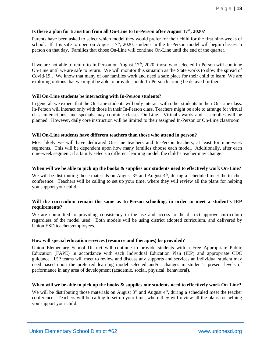### **Is there a plan for transition from all On-Line to In-Person after August 17th, 2020?**

Parents have been asked to select which model they would prefer for their child for the first nine-weeks of school. If it is safe to open on August  $17<sup>th</sup>$ , 2020, students in the In-Person model will begin classes in person on that day. Families that chose On-Line will continue On-Line until the end of the quarter.

If we are not able to return to In-Person on August  $17<sup>th</sup>$ , 2020, those who selected In-Person will continue On-Line until we are safe to return. We will monitor this situation as the State works to slow the spread of Covid-19 . We know that many of our families work and need a safe place for their child to learn. We are exploring options that we might be able to provide should In-Person learning be delayed further.

### **Will On-Line students be interacting with In-Person students?**

In general, we expect that the On-Line students will only interact with other students in their On-Line class. In-Person will interact only with those in their In-Person class. Teachers might be able to arrange for virtual class interactions, and specials may combine classes On-Line. Virtual awards and assemblies will be planned. However, daily core instruction will be limited to their assigned In-Person or On-Line classroom.

### **Will On-Line students have different teachers than those who attend in person?**

Most likely we will have dedicated On-Line teachers and In-Person teachers, at least for nine-week segments. This will be dependent upon how many families choose each model. Additionally, after each nine-week segment, if a family selects a different learning model, the child's teacher may change.

### **When will we be able to pick up the books & supplies our students need to effectively work On-Line?**

We will be distributing those materials on August  $3<sup>rd</sup>$  and August  $4<sup>th</sup>$ , during a scheduled meet the teacher conference. Teachers will be calling to set up your time, where they will review all the plans for helping you support your child.

### **Will the curriculum remain the same as In-Person schooling, in order to meet a student's IEP requirements?**

We are committed to providing consistency in the use and access to the district approve curriculum regardless of the model used. Both models will be using district adopted curriculum, and delivered by Union ESD teachers/employees.

### **How will special education services (resource and therapies) be provided?**

Union Elementary School District will continue to provide students with a Free Appropriate Public Education (FAPE) in accordance with each Individual Education Plan (IEP) and appropriate CDC guidance. IEP teams will meet to review and discuss any supports and services an individual student may need based upon the preferred learning model selected and/or changes in student's present levels of performance in any area of development (academic, social, physical, behavioral).

### **When will we be able to pick up the books & supplies our students need to effectively work On-Line?**

We will be distributing those materials on August  $3<sup>rd</sup>$  and August  $4<sup>th</sup>$ , during a scheduled meet the teacher conference. Teachers will be calling to set up your time, where they will review all the plans for helping you support your child.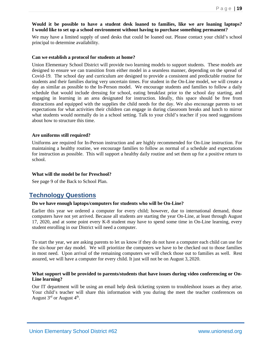### **Would it be possible to have a student desk loaned to families, like we are loaning laptops? I would like to set up a school environment without having to purchase something permanent?**

We may have a limited supply of used desks that could be loaned out. Please contact your child's school principal to determine availability.

### **Can we establish a protocol for students at home?**

Union Elementary School District will provide two learning models to support students. These models are designed to ensure we can transition from either model in a seamless manner, depending on the spread of Covid-19. The school day and curriculum are designed to provide a consistent and predictable routine for students and their families during very uncertain times. For student in the On-Line model, we will create a day as similar as possible to the In-Person model. We encourage students and families to follow a daily schedule that would include dressing for school, eating breakfast prior to the school day starting, and engaging in learning in an area designated for instruction. Ideally, this space should be free from distractions and equipped with the supplies the child needs for the day. We also encourage parents to set expectations for what activities their children can engage in during classroom breaks and lunch to mirror what students would normally do in a school setting. Talk to your child's teacher if you need suggestions about how to structure this time.

### **Are uniforms still required?**

Uniforms are required for In-Person instruction and are highly recommended for On-Line instruction. For maintaining a healthy routine, we encourage families to follow as normal of a schedule and expectations for instruction as possible. This will support a healthy daily routine and set them up for a positive return to school.

### **What will the model be for Preschool?**

See page 9 of the Back to School Plan.

### **Technology Questions**

#### **Do we have enough laptops/computers for students who will be On-Line?**

Earlier this year we ordered a computer for every child; however, due to international demand, those computers have not yet arrived. Because all students are starting the year On-Line, at least through August 17, 2020, and at some point every K-8 student may have to spend some time in On-Line learning, every student enrolling in our District will need a computer.

To start the year, we are asking parents to let us know if they do not have a computer each child can use for the six-hour per day model. We will prioritize the computers we have to be checked out to those families in most need. Upon arrival of the remaining computers we will check those out to families as well. Rest assured, we will have a computer for every child. It just will not be on August 3, 2020.

### **What support will be provided to parents/students that have issues during video conferencing or On-Line learning?**

Our IT department will be using an email help desk ticketing system to troubleshoot issues as they arise. Your child's teacher will share this information with you during the meet the teacher conferences on August  $3<sup>rd</sup>$  or August  $4<sup>th</sup>$ .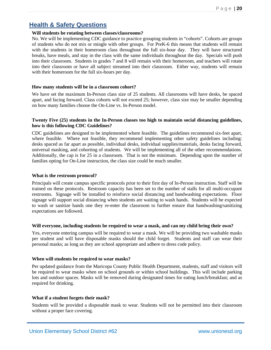### **Health & Safety Questions**

### **Will students be rotating between classes/classrooms?**

No. We will be implementing CDC guidance to practice grouping students in "cohorts". Cohorts are groups of students who do not mix or mingle with other groups. For PreK-6 this means that students will remain with the students in their homeroom class throughout the full six-hour day. They will have structured breaks, have meals, and stay in the class with the same individuals throughout the day. Specials will push into their classroom. Students in grades 7 and 8 will remain with their homeroom, and teachers will rotate into their classroom or have all subject streamed into their classroom. Either way, students will remain with their homeroom for the full six-hours per day.

### **How many students will be in a classroom cohort?**

We have set the maximum In-Person class size of 25 students. All classrooms will have desks, be spaced apart, and facing forward. Class cohorts will not exceed 25; however, class size may be smaller depending on how many families choose the On-Line vs. In-Person model.

### **Twenty Five (25) students in the In-Person classes too high to maintain social distancing guidelines, how is this following CDC Guidelines?**

CDC guidelines are designed to be implemented where feasible. The guidelines recommend six-feet apart, where feasible. Where not feasible, they recommend implementing other safety guidelines including: desks spaced as far apart as possible, individual desks, individual supplies/materials, desks facing forward, universal masking, and cohorting of students. We will be implementing all of the other recommendations. Additionally, the cap is for 25 in a classroom. That is not the minimum. Depending upon the number of families opting for On-Line instruction, the class size could be much smaller.

### **What is the restroom protocol?**

Principals will create campus specific protocols prior to their first day of In-Person instruction. Staff will be trained on these protocols. Restroom capacity has been set to the number of stalls for all multi-occupant restrooms. Signage will be installed to reinforce social distancing and handwashing expectations. Floor signage will support social distancing when students are waiting to wash hands. Students will be expected to wash or sanitize hands one they re-enter the classroom to further ensure that handwashing/sanitizing expectations are followed.

### **Will everyone, including students be required to wear a mask, and can my child bring their own?**

Yes, everyone entering campus will be required to wear a mask. We will be providing two washable masks per student and will have disposable masks should the child forget. Students and staff can wear their personal masks; as long as they are school appropriate and adhere to dress code policy.

### **When will students be required to wear masks?**

Per updated guidance from the Maricopa County Public Health Department, students, staff and visitors will be required to wear masks when on school grounds or within school buildings. This will include parking lots and outdoor spaces. Masks will be removed during designated times for eating lunch/breakfast; and as required for drinking.

### **What if a student forgets their mask?**

Students will be provided a disposable mask to wear. Students will not be permitted into their classroom without a proper face covering.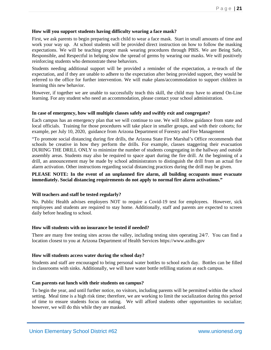### **How will you support students having difficulty wearing a face mask?**

First, we ask parents to begin preparing each child to wear a face mask. Start in small amounts of time and work your way up. At school students will be provided direct instruction on how to follow the masking expectations. We will be teaching proper mask wearing procedures through PBIS. We are Being Safe, Responsible, and Respectful in helping slow the spread of germs by wearing our masks. We will positively reinforcing students who demonstrate these behaviors.

Students needing additional support will be provided a reminder of the expectation, a re-teach of the expectation, and if they are unable to adhere to the expectation after being provided support, they would be referred to the office for further intervention. We will make plans/accommodation to support children in learning this new behavior.

However, if together we are unable to successfully teach this skill, the child may have to attend On-Line learning. For any student who need an accommodation, please contact your school administration.

### **In case of emergency, how will multiple classes safely and swiftly exit and congregate?**

Each campus has an emergency plan that we will continue to use. We will follow guidance from state and local officials. Training for those procedures will take place in smaller groups, and with their cohorts; for example, per July 10, 2020, guidance from Arizona Department of Forestry and Fire Management

"To promote social distancing during fire drills, the Arizona State Fire Marshal's Office recommends that schools be creative in how they perform the drills. For example, classes staggering their evacuation DURING THE DRILL ONLY to minimize the number of students congregating in the hallway and outside assembly areas. Students may also be required to space apart during the fire drill. At the beginning of a drill, an announcement may be made by school administrators to distinguish the drill from an actual fire alarm activation. Other instructions regarding social distancing practices during the drill may be given.

### **PLEASE NOTE: In the event of an unplanned fire alarm, all building occupants must evacuate immediately. Social distancing requirements do not apply to normal fire alarm activations."**

### **Will teachers and staff be tested regularly?**

No. Public Health advises employers NOT to require a Covid-19 test for employees. However, sick employees and students are required to stay home. Additionally, staff and parents are expected to screen daily before heading to school.

#### **How will students with no insurance be tested if needed?**

There are many free testing sites across the valley, including testing sites operating 24/7. You can find a location closest to you at Arizona Department of Health Services https://www.azdhs.gov

#### **How will students access water during the school day?**

Students and staff are encouraged to bring personal water bottles to school each day. Bottles can be filled in classrooms with sinks. Additionally, we will have water bottle refilling stations at each campus.

#### **Can parents eat lunch with their students on campus?**

To begin the year, and until further notice, no visitors, including parents will be permitted within the school setting. Meal time is a high risk time; therefore, we are working to limit the socialization during this period of time to ensure students focus on eating. We will afford students other opportunities to socialize; however, we will do this while they are masked.